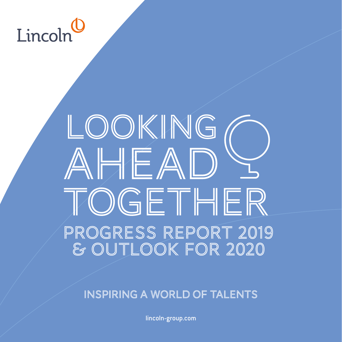# I incoln

# LOOKING AHEAD TOGETHER Progress Report 2019 & Outlook for 2020

INSPIRING A WORLD OF TALENTS

lincoln-group.com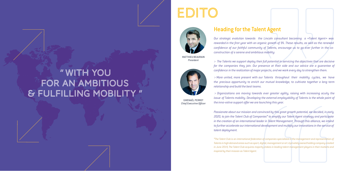2 3

# Heading for the Talent Agent

*Our strategic evolution towards the Lincoln consultant becoming a «Talent Agent» was rewarded in the first year with an organic growth of 9%. These results, as well as the renewed confidence of our faithful community of Talents, encourage us to go ever further in the coconstruction of a serene and ambitious mobility:*

*> The Talents we support deploy their full potential in servicing the objectives that are decisive for the companies they join. Our presence at their side and our advice are a guarantee of confidence in the realization of major projects, and we work every day to strengthen them.*

*> More united, more present with our Talents throughout their mobility cycles, we have the precious opportunity to enrich our mutual knowledge, to cultivate together a long term relationship and build the best teams.*

*> Organizations are moving towards ever greater agility, raising with increasing acuity the issue of Talents mobility. Developing the external employability of Talents is the whole point of the inno-vative support offer we are launching this year.*

# Édito Édito EDITO



*Passionate about our mission and convinced by this great growth potential, we decided, in early 2020, to join the Talent Club of Companies\* to amplify our Talent Agent strategy and participate in the creation of an international leader in Talent Management. Through this alliance, we intend to further accelerate ourinternational development and multiply our innovations in the service of talent deployment.*

*\*The Talent Club is an international federation of companies specialized in the management and representation of Talents in high demand areas such as sport, digital, management or art. A privately owned holding company created in June 2019, The Talent Club acquires majority stakes in leading talent management players in their markets and inspired by their mission as Talent Agent.*

GWENAËL PERROT *Chief Executive Officer*

MATTHIEU BEAURAIN *President*



# "with you for an ambitious & fulfilling mobility "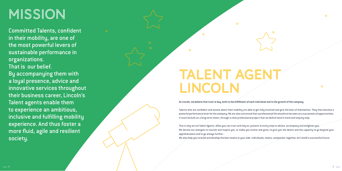# MISSION

# Talent Agent LINCOLN

 $\Omega$ 

 $\Omega$ 

Committed Talents, confident in their mobility, are one of the most powerful levers of sustainable performance in organizations. That is our belief. By accompanying them with a loyal presence, advice and innovative services throughout their business career, Lincoln's Talent agents enable them to experience an ambitious, inclusive and fulfilling mobility experience. And thus foster a more fluid, agile and resilient society.

**At Lincoln, we believe that trust is key, both to the fulfillment of each individual and to the growth of the company.**

Talents who are confident and serene about their mobility are able to get fully involved and give the best of themselves. They then become a powerful performance lever for the company. We are also convinced that a professional life should not be seen as a succession of opportunities. It must be built on a long-term vision, through a clear professional project that we define hand in hand and step by step.

This is why we are Talent Agents: allies you can trust and rely on, present at every step to advise, accompany and enlighten you. We devote our energies to nourish and inspire you, to make you evolve and grow, to give you the desire and the capacity to go beyond your apprehensions and to go always further...

We also help you to build and develop the best teams at your side. Individuals, teams, companies: together, let's build a successful future.



 $\Omega$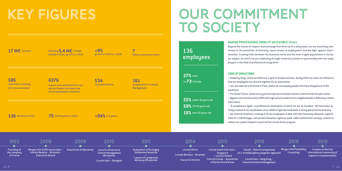

# KEY FIGURES OUR COMMITMENT

**17 M** $\epsilon$  Turnover **17** Including 5,4 M $\epsilon$  in sales  $+9\%$ outside France, up 22% vs. 2018

**7**  Offices around the world

**136** Workforce 2019 **70** Staffing level in 2015 **+94%** in 4 years

TO SOCIETY

**6376** Talents have benefited from our advice thanks to at least one of our Assessment solutions.

**595**  customers including 211 new customers

**534**  recruited Talents **161** assignments in Interim Management

growth in 2019 vs. 2018

## **SOME OF OUR ACTIONS**

> Solidarity Days, which we hold once a year in Europe and Asia, during which we close our offices so that our employees can all work together for an association.

> Les Journées de la Diversité in Paris, where we accompany people who have dropped out of the

workforce.

> The Senior Forum, where every year we help several dozen seniors to better enter the job market. > Regular interventions since 2005 with high school students from neighborhoods in difficulty in Seine Saint-Denis.

> "À compétence égale", a professional association of which we are co-founders. We have been actively involved in its coordination since 2006 to fight discrimination in hiring and promote diversity. > Our internal initiatives: training of all our employees to deal with discriminatory demands, appointment of a CSR Manager, annual discrimination vigilance audit, talent satisfaction surveys, actions to reduce our carbon footprint as part of the Lincoln Green program.

## **MAKING PROFESSIONAL MOBILITY ACCESSIBLE TO ALL**

Beyond the values of respect and exchange that drive us on a daily basis, we are resolutely committed to the promotion of diversity, equal access to employment and the fight against discrimination. Creating links between the business world and the most fragile populations is the basic subject on which we are mobilizing through numerous actions in partnership with the major players in the field of professional integration.

136 employees

**27%** male vs **73**% female

**16%** over 50 years old **59%** 30/49 years old **25%** under 30 years old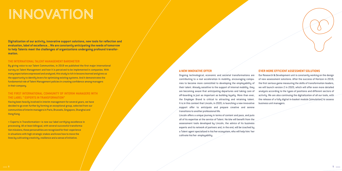# INNOVATION

### **EVER MORE EFFICIENT ASSESSMENT SOLUTIONS**

Our Research & Development unit is constantly working on the design of new assessment solutions. After the success of Horizon in 2019, the first serious game measuring the skills of transformation leaders, we will launch version 2 in 2020, which will offer even more detailed analysis according to the types of positions and different sectors of activity. We are also continuing the digitalization of all our tools, with the release of a fully digital in-basket module (simulation) to assess business unit managers.

## **A NEW INNOVATIVE OFFER**

Ongoing technological, economic and societal transformations are contributing to a real acceleration in mobility, encouraging companies to become more committed to developing the employability of their talent. Already sensitive to the support of internal mobility, they are becoming aware that anticipating departures and taking care of off-boarding is just as important as building loyalty. More than ever, the Employer Brand is critical to attracting and retaining talent. It is in this context that Lincoln, in 2020, is launching a new innovative support offer to anticipate and prepare creative and serene transitions to another professional life.

Lincoln offers a unique journey in terms of content and pace, and puts all of its expertise at the service of Talent. He/she will benefit from the assessment tools developed by Lincoln, the advice of its business experts and its network of partners and, in the end, will be coached by a Talent agent specialized in his/her ecosystem, who will help him/ her cultivate his/her employability.

**Digitalization of our activity, innovative support solutions, new tools for reflection and evaluation, label of excellence... We are constantly anticipating the needs of tomorrow to help Talents meet the challenges of organizations undergoing profound transformation.**

#### **THE INTERNATIONAL TALENT MANAGEMENT BAROMETER**

By giving voice to our Talent Communities, in 2019 we published the first major international survey on Talent Management and how it is perceived to be implemented in companies. With many expectations expressed and analyzed, this study is rich in lessons learned and gives us the opportunity to identify levers for optimizing existing systems. And it demonstrates the fundamental role of Talent Management policies in creating confidence among managers in their company.

## **THE FIRST INTERNATIONAL COMMUNITY OF INTERIM MANAGERS WITH THE LABEL " EXPERTS IN TRANSFORMATION"**

Having been heavily involved in interim management for several years, we have decided to go even further by forming an exceptional group, selected from our communities of interim managers in Paris, Brussels, Singapore, Shanghai and Hong Kong.

« Experts in Transformation» is now our label certifying excellence in processing. All at least bilingual, with several successful transformation missions, these personalities are recognized for their experience in situations with high strategic stakes and know how to move the lines by cultivating creativity, resilience and a sense of initiative.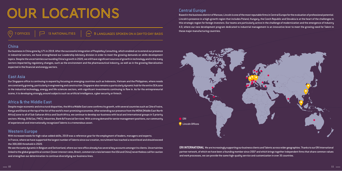# OUR LOCATIONS

 $\overline{C}$   $\overline{C}$  13 NATIONALITIES  $\overline{C}$   $\overline{O}$   $\overline{O}$  anguages spoken on a day-to-day basis

## China

Our business in China grew by 17% in 2019. After the successful integration of PeopleKey Consulting, which enabled us to extend our presence in industrial sectors, we have strengthened our Leadership Advisory division in order to meet the growing demands on skills development topics. Despite the uncertainties surrounding China's growth in 2020, we still have significant sources of growth in technology and in the many sectors impacted by regulatory changes, such as the environment and the pharmaceutical industry, as well as in the growing liberalization expected in the financial and energy sectors.

## East Asia

Our Singapore office is continuing to expand by focusing on emerging countries such as Indonesia, Vietnam and the Philippines, where needs are constantly growing, particularly in engineering and construction.Singapore also remains a particularly dynamic hub for the entire SEA zone in the industrial technology, energy and life sciences sectors, with significant investments continuing to flow in. As for the entrepreneurial scene, it is developing strongly around subjects such as artificial intelligence, cyber security or fintech.

# Africa & the Middle East

Despite major economic and structural disparities, the Africa Middle East zone confirms its growth, with several countries such as Côte d'Ivoire, Kenya and Ghana at the top of the list of the world's most promising economies. After extending our presence from the MENA (Middle East North Africa) zone to all of Sub-Saharan Africa and South Africa, we continue to develop our business with local and international groups in 5 priority sectors: Mining, Oil & Gas, FMCG, Industries, Bank & Financial Services. With a strong demand for senior management positions, our community of experienced and internationally recognized Talents is a tremendous asset.

# Western Europe

With increased needs for high value-added skills, 2019 was a reference year for the employment of leaders, managers and experts. In France, where we have supported the largest number of Talents since our creation, recruitment has reached a record level and should exceed the 300,000 threshold in 2020.

We see the same dynamic in Belgium and Switzerland, where our new office already has several key accounts amongst its clients. Uncertainties linked to the global geopolitical context (lower interest rates, Brexit, commercial crisis between the USA and China) nevertheless call for caution and strengthen our determination to continue diversifying our business lines.

**ERI INTERNATIONAL** We are increasingly supporting our business clients and Talents across wider geographies. Thanks to our ERI International partner network, of which we have been a founding member since 2007 and which brings together independent firms that share common values and work processes, we can provide the same high-quality service and customization in over 35 countries.



## Central Europe

Based in the business district of Warsaw, Lincoln is one of the most reputable firms in Central Europe for the evaluation of professional potential. Lincoln's presence in a high-growth region that includes Poland, Hungary, the Czech Republic and Slovakia is at the heart of the challenges in this strategic region for foreign investors. Our teams are particularly active in the challenge of modernization and the emergence of Industry 4.0, where our new development program dedicated to industrial management is an innovative lever to meet the growing need for Talent in these major manufacturing countries.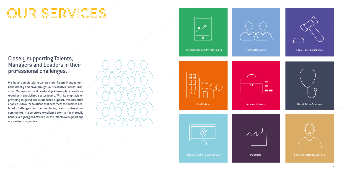# OUR SERVICES

# $\circ$

# Closely supporting Talents, Managers and Leaders in their professional challenges.

We have completely revamped our Talent Management Consultancy and have brought our Executive Search, Transition Management and Leadership Advisory business lines together in specialized sector teams. With its emphasis on providing targeted and customized support, this structure enables us to offer solutions that best meet the business-related challenges and issues facing each professional community. It also offers excellent potential for mutually beneficial synergies between us, the Talents we support and our partner companies.









|  |  | and the state of the state of the state of the state of the state of the state of the state of the state of th |
|--|--|----------------------------------------------------------------------------------------------------------------|
|  |  |                                                                                                                |

Financial Services, Private Equity

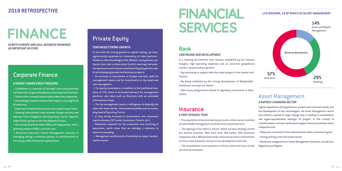# Financial **SERVICES**

# FINANCE

# **2019 RETROSPECTIVE**

**IN BOTH EUROPE AND ASIA, BUSINESS REMAINED AS IMPORTANT AS EVER**

# Corporate Finance

## **A MARKET UNDER GREAT PRESSURE**

> Candidates in a position of strength, particularly profiles with less than 15 years of experience and expertise functions. > Talents with increased expectations about the companies. > Increasingly complex missions that require a very high level of reactivity.

 >Important transformation issues that require sharp Talent. > Growing international trade between Europe and Asia and between China, Singapore and Hong Kong: Lincoln supports major French groups in their development in Asia.

In line with the strong growth in capital raising, we have significantly expanded our community of client partners. Thanks to their knowledge of the different ecosystems, our teams have also orchestrated fruitful meetings between entrepreneurs and investors and have fully played their role of accompanying people and business projects.

> An activity shared between SMEs and large groups, with a growing number of SMEs, and start-ups.

> Numerous Executive Interim Management missions in managing during a transition period, in transformation or increasing skills of financial organizations.

# Private Equity

## **CONTINUED STRONG GROWTH**

In a banking environment that remains weakened by low interest margins, high operating expenses and an uncertain geopolitical context, we pursued our growth:

> An increase in recruitment in Europe and Asia, both for management teams and for investments in the small and mid-cap segment.

> For equity investments, in addition to the traditional functions of CFO, there is increased demand for management positions and roles such as Directors with an extended international scope.

> For the management teams, a willingness to diversify the cells with more women, international profiles and an increasing need of Operating Partner.

> A very strong increase in investments and innovation capital missions (VC funds, incubators, Fintech, etc.).

> Numerous requests for the evaluation and coaching of executives, which show that we embody a reference in terms of consulting.

> Management and Executive Committee on major transformation issues.

# Bank

## **CONTINUING OUR DEVELOPMENT**

> By continuing to support both the major players in the market and Fintech.

> By being mobilized by the strong development of Responsible Investment amongst our clients.

> With many assignments related to regulatory constraints or Data issues.

# **Insurance**

## **A VERY DYNAMIC YEAR**

> The acquisition of several new key accounts, where we are involved at both middle management and Executive Committee level.

> The opening of our office in Zürich, where we have already carried out several missions. With more than 260 banks, 200 insurance companies and 1.800 pension funds, financial services in Switzerland is a first-class business and one of our development priorities.

> The consolidation of our presence in Africa, where we have carried out several mandates.

# Asset Management

## **A RAPIDLY CHANGING SECTOR**

Tighter regulations, pricing pressure, product and customer trends, and the development of new technologies: the Asset Management sector has entered a period of major change that is leading to consolidation and huper-specialization amongst its players. In this context of transformation, we have continued to support listed and unlisted asset companies with :

- > Many new customers in the unlisted sector which continues to grow.
- > Strong activity in the real estate sector.
- > Numerous assignments in Senior Management functions, as well as in Regulatory and Digital.



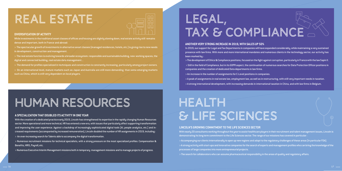# REAL ESTATE



#### **DIVERSIFICATION OF ACTIVITY**

While investments in the traditional asset classes of offices and housing are slightly slowing down, real estate activity still remains dense and important, both in France and abroad:

> The spectacular growth of investments in alternative asset classes (managed residences, hotels, etc.) is giving rise to new needs in development, construction and management.

> The real estate function is evolving towards a broader ecosystem: responsible and sustainable building, new working spaces, the digital and connected building, real estate data management...

> The demand for profiles specialized in techniques and construction is constantly increasing, particularly among project owners.

> On an international level, mature markets such as Japan and Australia are still more demanding than some emerging markets such as China, which is still very dependent on local players.

## **ANOTHER VERY STRONG INCREASE IN 2019, WITH SALES UP 50%**

In 2019, our support for Legal and Tax Departments in companies will have expanded considerably, while maintaining a very sustained presence with law firms. With more and more international mandates and numerous clients in the technology sector, our activity has been marked by :

> The development of Ethics & Compliance positions, focused on the fight against corruption, particularly in France with the law Sapin II. > Still in the field of Compliance, but in its GDPR aspect, the continuation of numerous searches for Data Protection Officer positions in





- 
- companies and the creation of dedicated Data departments in law firms.
- > An increase in the number of assignments for C-Level positions in companies.
- > A peak of assignments in real estate law, employment law, as well as in restructuring, with still very important needs in taxation.
- > A strong international development, with increasing demands in international taxation in China, and with law firms in Belgium.

# Legal, Tax & Compliance

# Health & Life Sciences

### **LINCOLN'S GROWING COMMITMENT TO THE LIFE SCIENCES SECTOR**

With nearly 20 consultants working throughout the year to assist healthcare players in their recruitment and talent management issues, Lincoln is demonstrating its long term commitment to the Life Sciences sector. The range of our missions has covered in particular : > Accompanying our clients internationally to open up new regions and adapt to the regulatory challenges of these areas (in particular FDA). > A strong activity with start-ups and innovative companies for the search of experts and management profiles who can bring the knowledge of the processes of large companies into more entrepreneurial projects.



> The search for collaborators who can assume pharmaceutical responsibility in the areas of quality and regulatory affairs.

# Human Resources

#### **A SPECIALIZATION THAT DOUBLED ITS ACTIVITY IN ONE YEAR**

With the creation of a dedicated practice early 2019, Lincoln has strengthened its expertise in the rapidly changing Human Resources sector. More operational and more technical, HR has entered a new era, with issues that particularly affect supporting transformation and improving the user experience. Against a backdrop of increasingly sophisticated digital tools (AI, people analytics, etc.) and increased requirements (accompanied by increased remuneration), Lincoln doubled the number of HR assignments in 2019, including :

> An ever-increasing search for Talents able to accompany the digital transformation.

> Numerous recruitment missions for technical specialists, with a strong pressure on the most specialized profiles: Compensation & Benefits, HRIS, Payroll, etc.

> Numerous Executive Interim Management missions both in temporary management missions and to manage projects of progress.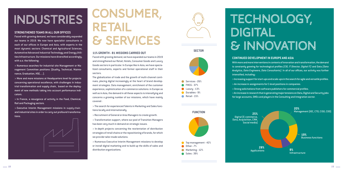# Industries Consumer, Retail & Services

#### **11% GROWTH - 81 MISSIONS CARRIED OUT**

Faced with growing demand, we have expanded our teams in 2019 and strengthened our Retail, Hotels, Consumer Goods and Luxury Goods sectors in particular. In Europe like in Asia, we have specialized consultants, experts and former operational staff in their sectors.

The globalization of trade and the growth of multi-channel continues, placing digital increasingly at the heart of brand development strategies. Data management, enrichment of the customer experience, sophistication of e-commerce solutions: in Europe as well as in Asia, the demand in all these aspects is intensifying and concerns a growing number of our missions, which have mainly covered :

> The search for experienced Talents in Marketing and Sales functions locally and internationally.

> Recruitment of General or Area Managers to create growth.

> Transformation support, where our pool of Transition Managers has been very much in demand on strategic issues.

> In-depth projects concerning the reorientation of distribution strategies of retail chains or the repositioning of brands, for which we provide tailor-made solutions.

> Numerous Executive Interim Management missions to develop or install digital marketing and to build up the skills of sales and distribution organizations.



## **CONTINUED DEVELOPMENT IN EUROPE AND ASIA**

With more and more interventions in contexts of innovation and transformation, the demand is constantly growing for technological profiles *(CIO, IT Director, Digital IT)* and Data *(Data Analytics, Data Engineers, Data Consultants)*. In all of our offices, our activity was further

intensified, including :

- > Increasing support for start-ups and scale-ups in the search for agile and versatile profiles.
- > An increase in assignments for C-level positions in companies.
- > Strong solicitations from software publishers for commercial profiles.
- > An increase in research that is generating major tensions on Data, Digital and Security jobs
- for large accounts, SMEs and players in the Consulting and Integration sector.

Applications



**25%**  Digital (E-commerce, Data, Acquisition, CRM, Social media)

## **SECTOR**



## **STRENGTHENED TEAMS IN ALL OUR OFFICES**

Faced with growing demand, we have considerably expanded our teams in 2019. We now have specialist consultants in each of our offices in Europe and Asia, with experts in the most dynamic sectors: Chemical and Agricultural Sciences, Automotive/Advanced Industrial Technology and Energy Utilities Infrastructure. Our missions have diversified accordingly, with a.o. the following:

> Numerous searches for industrial site Management or Management Committee positions (Quality, Technical, Maintenance, Graduation, HSE, ...).



# DIGITAL

> More and more missions at Headquarters level for projects concerning operational excellence, with challenges in industrial transformation and supply chain, based on the deployment of new methods taking into account performance indicators.

> In France, a resurgence of activity in the Food, Chemical, Rail and Packaging sectors.

> Executive Interim Management missions in supply chain and industrial sites in order to carry out profound transformations.